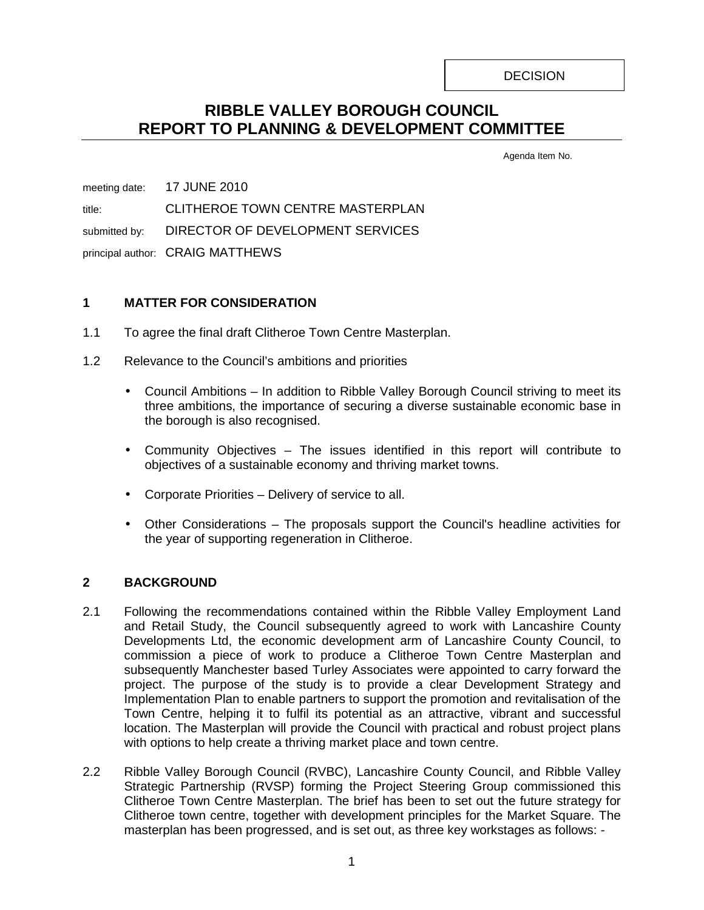**DECISION** 

# **RIBBLE VALLEY BOROUGH COUNCIL REPORT TO PLANNING & DEVELOPMENT COMMITTEE**

Agenda Item No.

meeting date: 17 JUNE 2010 title: CLITHEROE TOWN CENTRE MASTERPLAN submitted by: DIRECTOR OF DEVELOPMENT SERVICES principal author: CRAIG MATTHEWS

# **1 MATTER FOR CONSIDERATION**

- 1.1 To agree the final draft Clitheroe Town Centre Masterplan.
- 1.2 Relevance to the Council's ambitions and priorities
	- Council Ambitions In addition to Ribble Valley Borough Council striving to meet its three ambitions, the importance of securing a diverse sustainable economic base in the borough is also recognised.
	- Community Objectives The issues identified in this report will contribute to objectives of a sustainable economy and thriving market towns.
	- Corporate Priorities Delivery of service to all.
	- Other Considerations The proposals support the Council's headline activities for the year of supporting regeneration in Clitheroe.

# **2 BACKGROUND**

- 2.1 Following the recommendations contained within the Ribble Valley Employment Land and Retail Study, the Council subsequently agreed to work with Lancashire County Developments Ltd, the economic development arm of Lancashire County Council, to commission a piece of work to produce a Clitheroe Town Centre Masterplan and subsequently Manchester based Turley Associates were appointed to carry forward the project. The purpose of the study is to provide a clear Development Strategy and Implementation Plan to enable partners to support the promotion and revitalisation of the Town Centre, helping it to fulfil its potential as an attractive, vibrant and successful location. The Masterplan will provide the Council with practical and robust project plans with options to help create a thriving market place and town centre.
- 2.2 Ribble Valley Borough Council (RVBC), Lancashire County Council, and Ribble Valley Strategic Partnership (RVSP) forming the Project Steering Group commissioned this Clitheroe Town Centre Masterplan. The brief has been to set out the future strategy for Clitheroe town centre, together with development principles for the Market Square. The masterplan has been progressed, and is set out, as three key workstages as follows: -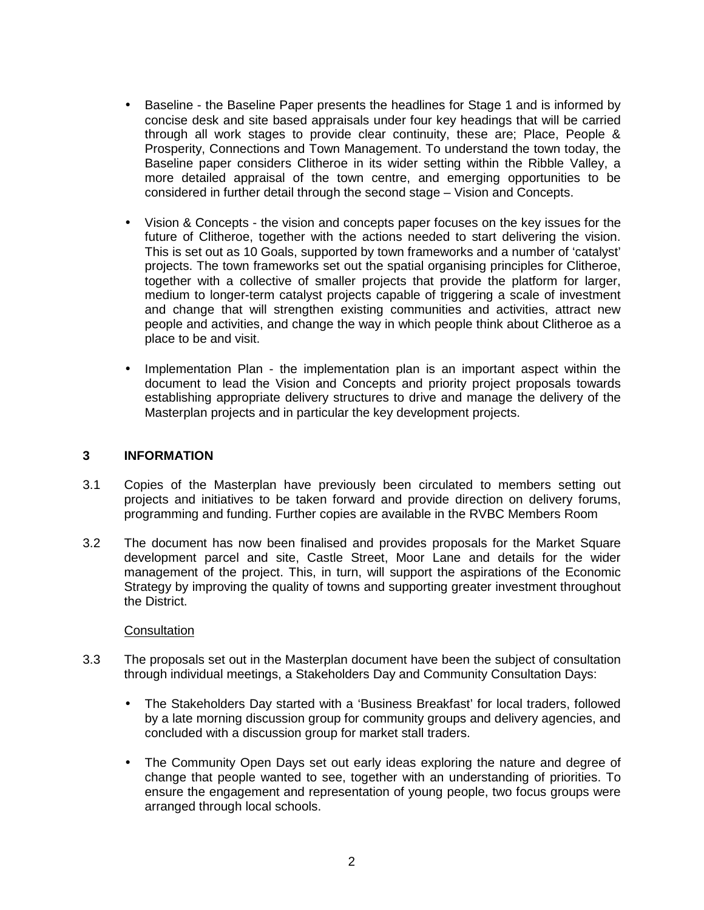- Baseline the Baseline Paper presents the headlines for Stage 1 and is informed by concise desk and site based appraisals under four key headings that will be carried through all work stages to provide clear continuity, these are; Place, People & Prosperity, Connections and Town Management. To understand the town today, the Baseline paper considers Clitheroe in its wider setting within the Ribble Valley, a more detailed appraisal of the town centre, and emerging opportunities to be considered in further detail through the second stage – Vision and Concepts.
- Vision & Concepts the vision and concepts paper focuses on the key issues for the future of Clitheroe, together with the actions needed to start delivering the vision. This is set out as 10 Goals, supported by town frameworks and a number of 'catalyst' projects. The town frameworks set out the spatial organising principles for Clitheroe, together with a collective of smaller projects that provide the platform for larger, medium to longer-term catalyst projects capable of triggering a scale of investment and change that will strengthen existing communities and activities, attract new people and activities, and change the way in which people think about Clitheroe as a place to be and visit.
- Implementation Plan the implementation plan is an important aspect within the document to lead the Vision and Concepts and priority project proposals towards establishing appropriate delivery structures to drive and manage the delivery of the Masterplan projects and in particular the key development projects.

## **3 INFORMATION**

- 3.1 Copies of the Masterplan have previously been circulated to members setting out projects and initiatives to be taken forward and provide direction on delivery forums, programming and funding. Further copies are available in the RVBC Members Room
- 3.2 The document has now been finalised and provides proposals for the Market Square development parcel and site, Castle Street, Moor Lane and details for the wider management of the project. This, in turn, will support the aspirations of the Economic Strategy by improving the quality of towns and supporting greater investment throughout the District.

#### **Consultation**

- 3.3 The proposals set out in the Masterplan document have been the subject of consultation through individual meetings, a Stakeholders Day and Community Consultation Days:
	- The Stakeholders Day started with a 'Business Breakfast' for local traders, followed by a late morning discussion group for community groups and delivery agencies, and concluded with a discussion group for market stall traders.
	- The Community Open Days set out early ideas exploring the nature and degree of change that people wanted to see, together with an understanding of priorities. To ensure the engagement and representation of young people, two focus groups were arranged through local schools.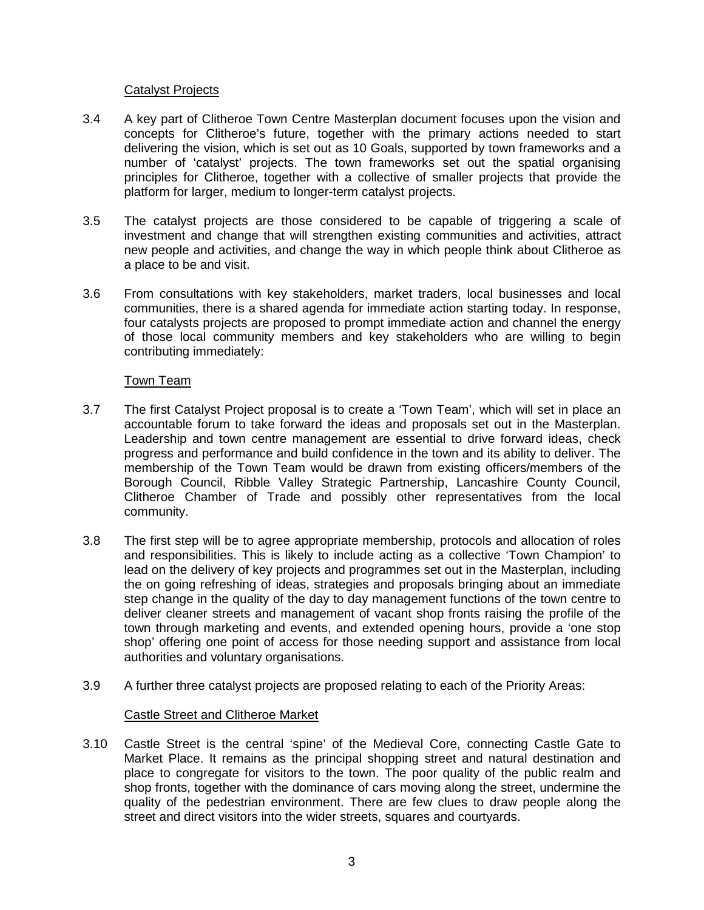## Catalyst Projects

- 3.4 A key part of Clitheroe Town Centre Masterplan document focuses upon the vision and concepts for Clitheroe's future, together with the primary actions needed to start delivering the vision, which is set out as 10 Goals, supported by town frameworks and a number of 'catalyst' projects. The town frameworks set out the spatial organising principles for Clitheroe, together with a collective of smaller projects that provide the platform for larger, medium to longer-term catalyst projects.
- 3.5 The catalyst projects are those considered to be capable of triggering a scale of investment and change that will strengthen existing communities and activities, attract new people and activities, and change the way in which people think about Clitheroe as a place to be and visit.
- 3.6 From consultations with key stakeholders, market traders, local businesses and local communities, there is a shared agenda for immediate action starting today. In response, four catalysts projects are proposed to prompt immediate action and channel the energy of those local community members and key stakeholders who are willing to begin contributing immediately:

## Town Team

- 3.7 The first Catalyst Project proposal is to create a 'Town Team', which will set in place an accountable forum to take forward the ideas and proposals set out in the Masterplan. Leadership and town centre management are essential to drive forward ideas, check progress and performance and build confidence in the town and its ability to deliver. The membership of the Town Team would be drawn from existing officers/members of the Borough Council, Ribble Valley Strategic Partnership, Lancashire County Council, Clitheroe Chamber of Trade and possibly other representatives from the local community.
- 3.8 The first step will be to agree appropriate membership, protocols and allocation of roles and responsibilities. This is likely to include acting as a collective 'Town Champion' to lead on the delivery of key projects and programmes set out in the Masterplan, including the on going refreshing of ideas, strategies and proposals bringing about an immediate step change in the quality of the day to day management functions of the town centre to deliver cleaner streets and management of vacant shop fronts raising the profile of the town through marketing and events, and extended opening hours, provide a 'one stop shop' offering one point of access for those needing support and assistance from local authorities and voluntary organisations.
- 3.9 A further three catalyst projects are proposed relating to each of the Priority Areas:

# Castle Street and Clitheroe Market

3.10 Castle Street is the central 'spine' of the Medieval Core, connecting Castle Gate to Market Place. It remains as the principal shopping street and natural destination and place to congregate for visitors to the town. The poor quality of the public realm and shop fronts, together with the dominance of cars moving along the street, undermine the quality of the pedestrian environment. There are few clues to draw people along the street and direct visitors into the wider streets, squares and courtyards.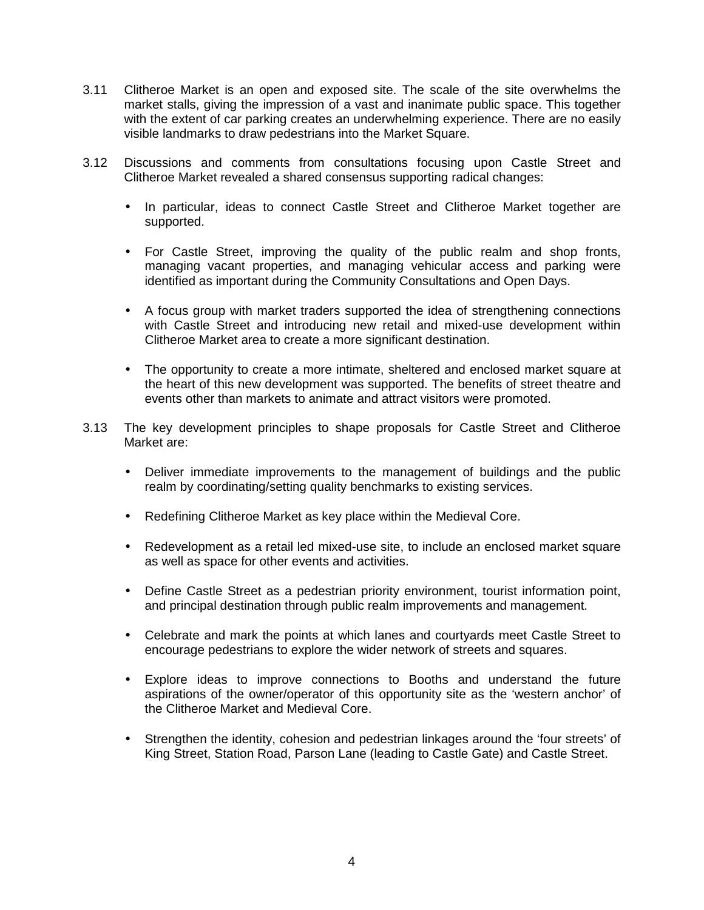- 3.11 Clitheroe Market is an open and exposed site. The scale of the site overwhelms the market stalls, giving the impression of a vast and inanimate public space. This together with the extent of car parking creates an underwhelming experience. There are no easily visible landmarks to draw pedestrians into the Market Square.
- 3.12 Discussions and comments from consultations focusing upon Castle Street and Clitheroe Market revealed a shared consensus supporting radical changes:
	- In particular, ideas to connect Castle Street and Clitheroe Market together are supported.
	- For Castle Street, improving the quality of the public realm and shop fronts, managing vacant properties, and managing vehicular access and parking were identified as important during the Community Consultations and Open Days.
	- A focus group with market traders supported the idea of strengthening connections with Castle Street and introducing new retail and mixed-use development within Clitheroe Market area to create a more significant destination.
	- The opportunity to create a more intimate, sheltered and enclosed market square at the heart of this new development was supported. The benefits of street theatre and events other than markets to animate and attract visitors were promoted.
- 3.13 The key development principles to shape proposals for Castle Street and Clitheroe Market are:
	- Deliver immediate improvements to the management of buildings and the public realm by coordinating/setting quality benchmarks to existing services.
	- Redefining Clitheroe Market as key place within the Medieval Core.
	- Redevelopment as a retail led mixed-use site, to include an enclosed market square as well as space for other events and activities.
	- Define Castle Street as a pedestrian priority environment, tourist information point, and principal destination through public realm improvements and management.
	- Celebrate and mark the points at which lanes and courtyards meet Castle Street to encourage pedestrians to explore the wider network of streets and squares.
	- Explore ideas to improve connections to Booths and understand the future aspirations of the owner/operator of this opportunity site as the 'western anchor' of the Clitheroe Market and Medieval Core.
	- Strengthen the identity, cohesion and pedestrian linkages around the 'four streets' of King Street, Station Road, Parson Lane (leading to Castle Gate) and Castle Street.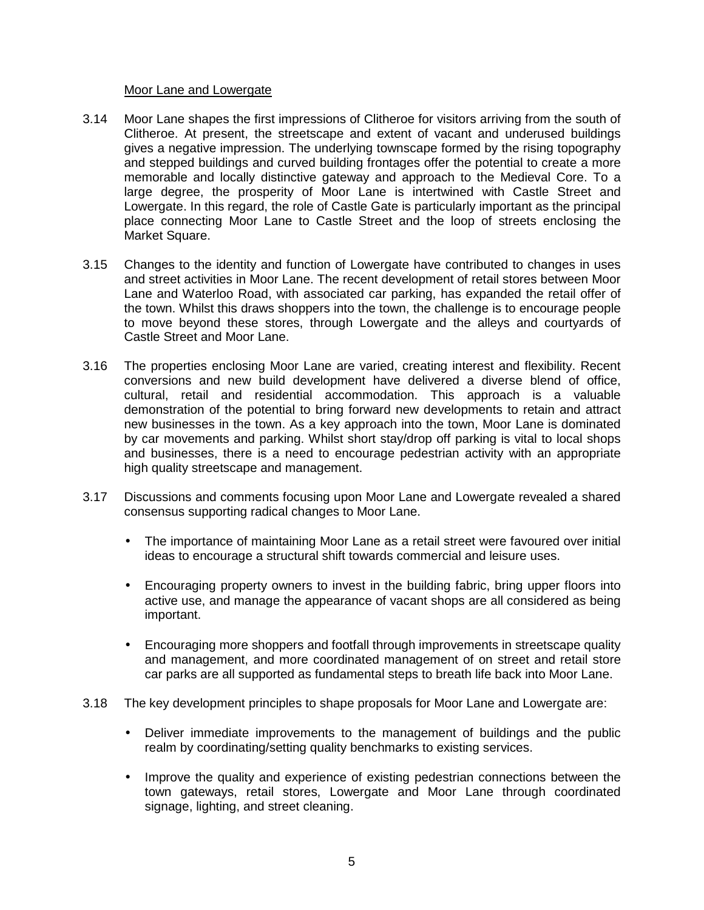#### Moor Lane and Lowergate

- 3.14 Moor Lane shapes the first impressions of Clitheroe for visitors arriving from the south of Clitheroe. At present, the streetscape and extent of vacant and underused buildings gives a negative impression. The underlying townscape formed by the rising topography and stepped buildings and curved building frontages offer the potential to create a more memorable and locally distinctive gateway and approach to the Medieval Core. To a large degree, the prosperity of Moor Lane is intertwined with Castle Street and Lowergate. In this regard, the role of Castle Gate is particularly important as the principal place connecting Moor Lane to Castle Street and the loop of streets enclosing the Market Square.
- 3.15 Changes to the identity and function of Lowergate have contributed to changes in uses and street activities in Moor Lane. The recent development of retail stores between Moor Lane and Waterloo Road, with associated car parking, has expanded the retail offer of the town. Whilst this draws shoppers into the town, the challenge is to encourage people to move beyond these stores, through Lowergate and the alleys and courtyards of Castle Street and Moor Lane.
- 3.16 The properties enclosing Moor Lane are varied, creating interest and flexibility. Recent conversions and new build development have delivered a diverse blend of office, cultural, retail and residential accommodation. This approach is a valuable demonstration of the potential to bring forward new developments to retain and attract new businesses in the town. As a key approach into the town, Moor Lane is dominated by car movements and parking. Whilst short stay/drop off parking is vital to local shops and businesses, there is a need to encourage pedestrian activity with an appropriate high quality streetscape and management.
- 3.17 Discussions and comments focusing upon Moor Lane and Lowergate revealed a shared consensus supporting radical changes to Moor Lane.
	- The importance of maintaining Moor Lane as a retail street were favoured over initial ideas to encourage a structural shift towards commercial and leisure uses.
	- Encouraging property owners to invest in the building fabric, bring upper floors into active use, and manage the appearance of vacant shops are all considered as being important.
	- Encouraging more shoppers and footfall through improvements in streetscape quality and management, and more coordinated management of on street and retail store car parks are all supported as fundamental steps to breath life back into Moor Lane.
- 3.18 The key development principles to shape proposals for Moor Lane and Lowergate are:
	- Deliver immediate improvements to the management of buildings and the public realm by coordinating/setting quality benchmarks to existing services.
	- Improve the quality and experience of existing pedestrian connections between the town gateways, retail stores, Lowergate and Moor Lane through coordinated signage, lighting, and street cleaning.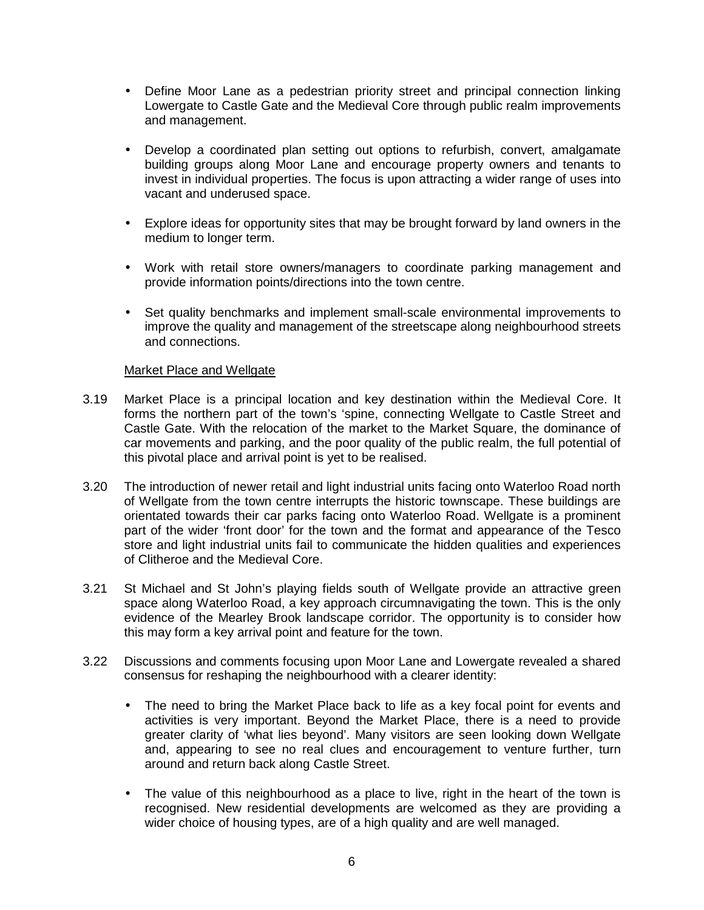- Define Moor Lane as a pedestrian priority street and principal connection linking Lowergate to Castle Gate and the Medieval Core through public realm improvements and management.
- Develop a coordinated plan setting out options to refurbish, convert, amalgamate building groups along Moor Lane and encourage property owners and tenants to invest in individual properties. The focus is upon attracting a wider range of uses into vacant and underused space.
- Explore ideas for opportunity sites that may be brought forward by land owners in the medium to longer term.
- Work with retail store owners/managers to coordinate parking management and provide information points/directions into the town centre.
- Set quality benchmarks and implement small-scale environmental improvements to improve the quality and management of the streetscape along neighbourhood streets and connections.

#### Market Place and Wellgate

- 3.19 Market Place is a principal location and key destination within the Medieval Core. It forms the northern part of the town's 'spine, connecting Wellgate to Castle Street and Castle Gate. With the relocation of the market to the Market Square, the dominance of car movements and parking, and the poor quality of the public realm, the full potential of this pivotal place and arrival point is yet to be realised.
- 3.20 The introduction of newer retail and light industrial units facing onto Waterloo Road north of Wellgate from the town centre interrupts the historic townscape. These buildings are orientated towards their car parks facing onto Waterloo Road. Wellgate is a prominent part of the wider 'front door' for the town and the format and appearance of the Tesco store and light industrial units fail to communicate the hidden qualities and experiences of Clitheroe and the Medieval Core.
- 3.21 St Michael and St John's playing fields south of Wellgate provide an attractive green space along Waterloo Road, a key approach circumnavigating the town. This is the only evidence of the Mearley Brook landscape corridor. The opportunity is to consider how this may form a key arrival point and feature for the town.
- 3.22 Discussions and comments focusing upon Moor Lane and Lowergate revealed a shared consensus for reshaping the neighbourhood with a clearer identity:
	- The need to bring the Market Place back to life as a key focal point for events and activities is very important. Beyond the Market Place, there is a need to provide greater clarity of 'what lies beyond'. Many visitors are seen looking down Wellgate and, appearing to see no real clues and encouragement to venture further, turn around and return back along Castle Street.
	- The value of this neighbourhood as a place to live, right in the heart of the town is recognised. New residential developments are welcomed as they are providing a wider choice of housing types, are of a high quality and are well managed.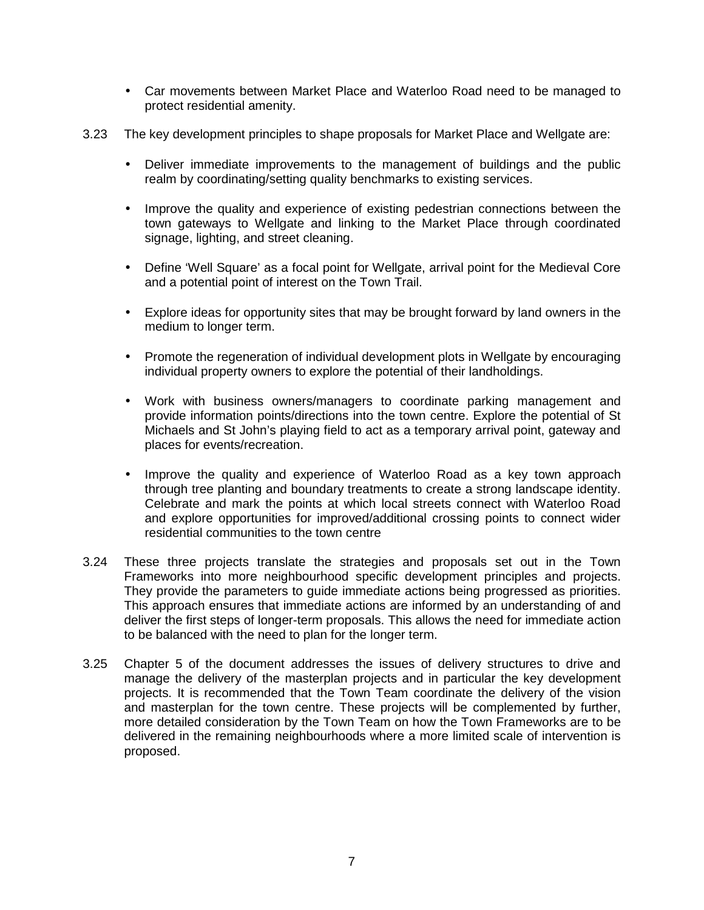- Car movements between Market Place and Waterloo Road need to be managed to protect residential amenity.
- 3.23 The key development principles to shape proposals for Market Place and Wellgate are:
	- Deliver immediate improvements to the management of buildings and the public realm by coordinating/setting quality benchmarks to existing services.
	- Improve the quality and experience of existing pedestrian connections between the town gateways to Wellgate and linking to the Market Place through coordinated signage, lighting, and street cleaning.
	- Define 'Well Square' as a focal point for Wellgate, arrival point for the Medieval Core and a potential point of interest on the Town Trail.
	- Explore ideas for opportunity sites that may be brought forward by land owners in the medium to longer term.
	- Promote the regeneration of individual development plots in Wellgate by encouraging individual property owners to explore the potential of their landholdings.
	- Work with business owners/managers to coordinate parking management and provide information points/directions into the town centre. Explore the potential of St Michaels and St John's playing field to act as a temporary arrival point, gateway and places for events/recreation.
	- Improve the quality and experience of Waterloo Road as a key town approach through tree planting and boundary treatments to create a strong landscape identity. Celebrate and mark the points at which local streets connect with Waterloo Road and explore opportunities for improved/additional crossing points to connect wider residential communities to the town centre
- 3.24 These three projects translate the strategies and proposals set out in the Town Frameworks into more neighbourhood specific development principles and projects. They provide the parameters to guide immediate actions being progressed as priorities. This approach ensures that immediate actions are informed by an understanding of and deliver the first steps of longer-term proposals. This allows the need for immediate action to be balanced with the need to plan for the longer term.
- 3.25 Chapter 5 of the document addresses the issues of delivery structures to drive and manage the delivery of the masterplan projects and in particular the key development projects. It is recommended that the Town Team coordinate the delivery of the vision and masterplan for the town centre. These projects will be complemented by further, more detailed consideration by the Town Team on how the Town Frameworks are to be delivered in the remaining neighbourhoods where a more limited scale of intervention is proposed.